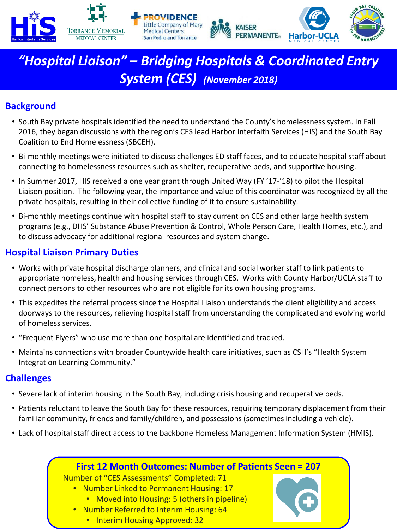

# *"Hospital Liaison" – Bridging Hospitals & Coordinated Entry System (CES) (November 2018)*

## **Background**

- South Bay private hospitals identified the need to understand the County's homelessness system. In Fall 2016, they began discussions with the region's CES lead Harbor Interfaith Services (HIS) and the South Bay Coalition to End Homelessness (SBCEH).
- Bi-monthly meetings were initiated to discuss challenges ED staff faces, and to educate hospital staff about connecting to homelessness resources such as shelter, recuperative beds, and supportive housing.
- In Summer 2017, HIS received a one year grant through United Way (FY '17-'18) to pilot the Hospital Liaison position. The following year, the importance and value of this coordinator was recognized by all the private hospitals, resulting in their collective funding of it to ensure sustainability.
- Bi-monthly meetings continue with hospital staff to stay current on CES and other large health system programs (e.g., DHS' Substance Abuse Prevention & Control, Whole Person Care, Health Homes, etc.), and to discuss advocacy for additional regional resources and system change.

### **Hospital Liaison Primary Duties**

- Works with private hospital discharge planners, and clinical and social worker staff to link patients to appropriate homeless, health and housing services through CES. Works with County Harbor/UCLA staff to connect persons to other resources who are not eligible for its own housing programs.
- This expedites the referral process since the Hospital Liaison understands the client eligibility and access doorways to the resources, relieving hospital staff from understanding the complicated and evolving world of homeless services.
- "Frequent Flyers" who use more than one hospital are identified and tracked.
- Maintains connections with broader Countywide health care initiatives, such as CSH's "Health System Integration Learning Community."

#### **Challenges**

- Severe lack of interim housing in the South Bay, including crisis housing and recuperative beds.
- Patients reluctant to leave the South Bay for these resources, requiring temporary displacement from their familiar community, friends and family/children, and possessions (sometimes including a vehicle).
- Lack of hospital staff direct access to the backbone Homeless Management Information System (HMIS).